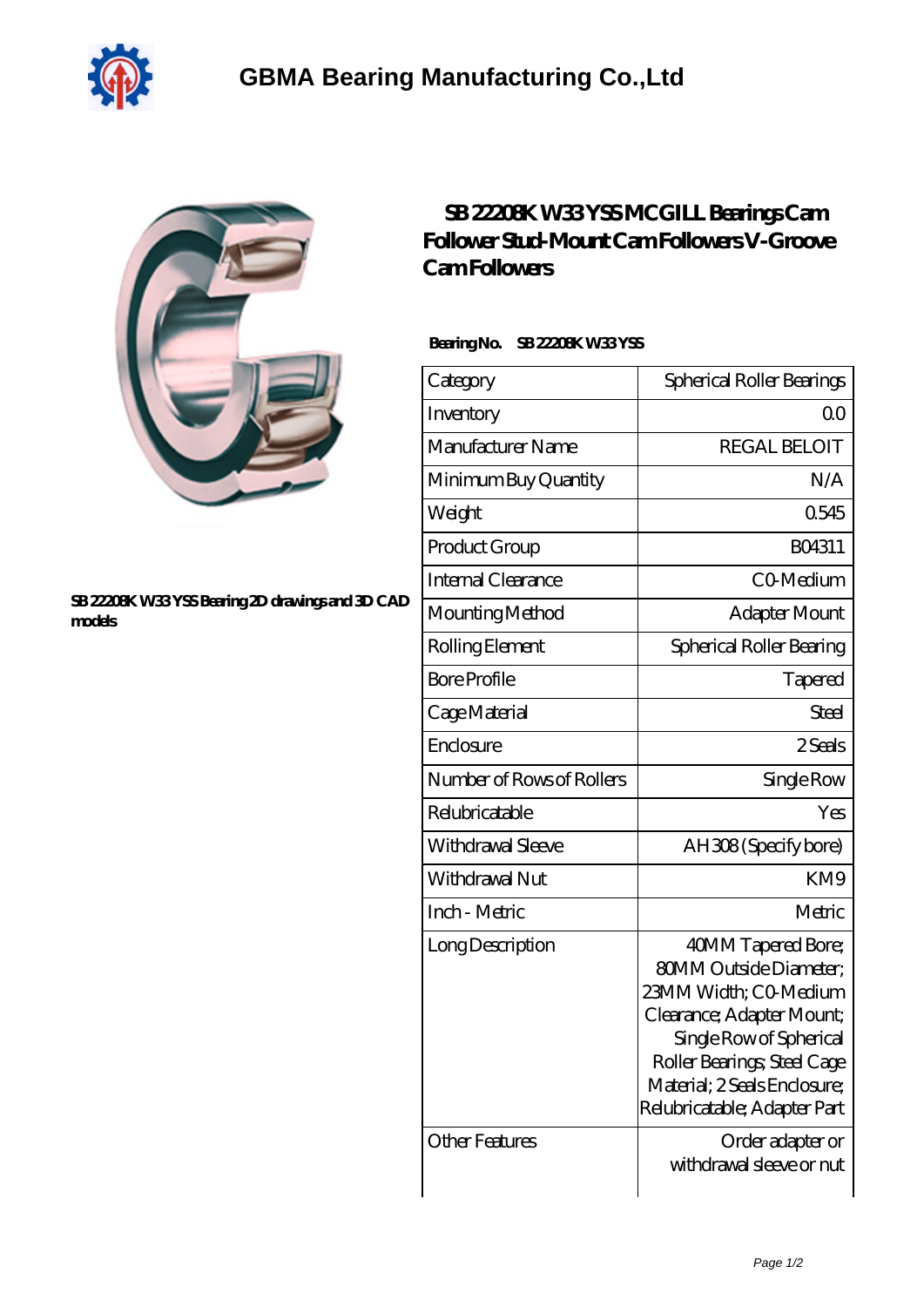



## **[SB 22208K W33 YSS Bearing 2D drawings and 3D CAD](https://dogwooddreams.com/pic-635547.html) [models](https://dogwooddreams.com/pic-635547.html)**

## **[SB 22208K W33 YSS MCGILL Bearings Cam](https://dogwooddreams.com/bearings-cam-follower-stud-mount-cam-followers-v-groove-cam-followers/sb-22208k-w33-yss.html) [Follower Stud-Mount Cam Followers V-Groove](https://dogwooddreams.com/bearings-cam-follower-stud-mount-cam-followers-v-groove-cam-followers/sb-22208k-w33-yss.html) [Cam Followers](https://dogwooddreams.com/bearings-cam-follower-stud-mount-cam-followers-v-groove-cam-followers/sb-22208k-w33-yss.html)**

## **Bearing No. SB 22208K W33 YSS**

| Category                  | Spherical Roller Bearings                                                                                                                                                                                                           |
|---------------------------|-------------------------------------------------------------------------------------------------------------------------------------------------------------------------------------------------------------------------------------|
| Inventory                 | QO                                                                                                                                                                                                                                  |
| Manufacturer Name         | <b>REGAL BELOIT</b>                                                                                                                                                                                                                 |
| Minimum Buy Quantity      | N/A                                                                                                                                                                                                                                 |
| Weight                    | 0545                                                                                                                                                                                                                                |
| Product Group             | BO4311                                                                                                                                                                                                                              |
| Internal Clearance        | C0 Medium                                                                                                                                                                                                                           |
| Mounting Method           | Adapter Mount                                                                                                                                                                                                                       |
| Rolling Element           | Spherical Roller Bearing                                                                                                                                                                                                            |
| <b>Bore Profile</b>       | Tapered                                                                                                                                                                                                                             |
| Cage Material             | Steel                                                                                                                                                                                                                               |
| Enclosure                 | 2 Seals                                                                                                                                                                                                                             |
| Number of Rows of Rollers | Single Row                                                                                                                                                                                                                          |
| Relubricatable            | Yes                                                                                                                                                                                                                                 |
| Withdrawal Sleeve         | AH308 (Specify bore)                                                                                                                                                                                                                |
| Withdrawal Nut            | KM9                                                                                                                                                                                                                                 |
| Inch - Metric             | Metric                                                                                                                                                                                                                              |
| Long Description          | 40MM Tapered Bore;<br><b>80MM Outside Diameter;</b><br>23MM Width; CO-Medium<br>Clearance; Adapter Mount;<br>Single Row of Spherical<br>Roller Bearings; Steel Cage<br>Material; 2 Seals Enclosure;<br>Relubricatable; Adapter Part |
| <b>Other Features</b>     | Order adapter or<br>withdrawal sleeve or nut                                                                                                                                                                                        |